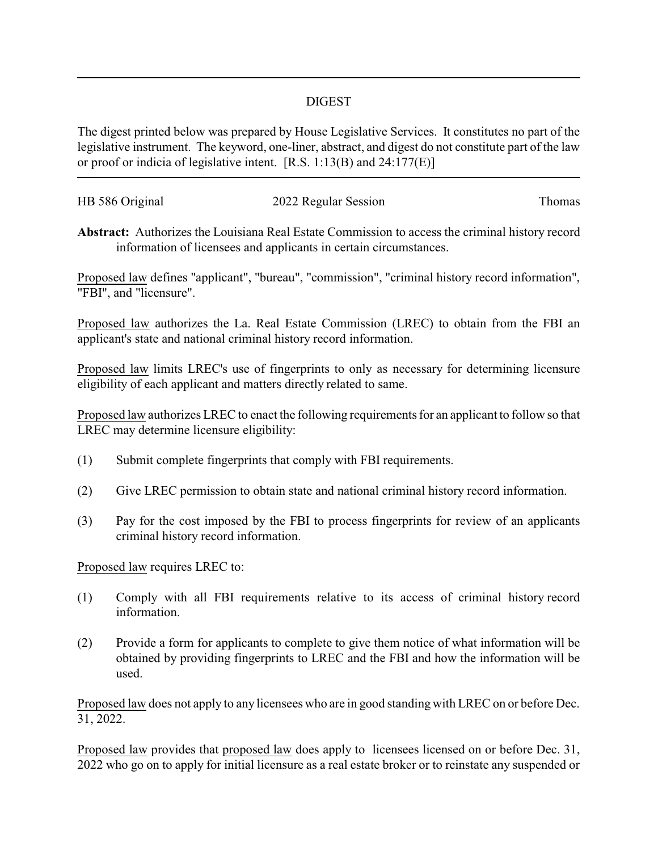## DIGEST

The digest printed below was prepared by House Legislative Services. It constitutes no part of the legislative instrument. The keyword, one-liner, abstract, and digest do not constitute part of the law or proof or indicia of legislative intent. [R.S. 1:13(B) and 24:177(E)]

| HB 586 Original | 2022 Regular Session | Thomas |
|-----------------|----------------------|--------|
|                 |                      |        |

**Abstract:** Authorizes the Louisiana Real Estate Commission to access the criminal history record information of licensees and applicants in certain circumstances.

Proposed law defines "applicant", "bureau", "commission", "criminal history record information", "FBI", and "licensure".

Proposed law authorizes the La. Real Estate Commission (LREC) to obtain from the FBI an applicant's state and national criminal history record information.

Proposed law limits LREC's use of fingerprints to only as necessary for determining licensure eligibility of each applicant and matters directly related to same.

Proposed law authorizes LREC to enact the following requirements for an applicant to follow so that LREC may determine licensure eligibility:

- (1) Submit complete fingerprints that comply with FBI requirements.
- (2) Give LREC permission to obtain state and national criminal history record information.
- (3) Pay for the cost imposed by the FBI to process fingerprints for review of an applicants criminal history record information.

Proposed law requires LREC to:

- (1) Comply with all FBI requirements relative to its access of criminal history record information.
- (2) Provide a form for applicants to complete to give them notice of what information will be obtained by providing fingerprints to LREC and the FBI and how the information will be used.

Proposed law does not apply to any licensees who are in good standing with LREC on or before Dec. 31, 2022.

Proposed law provides that proposed law does apply to licensees licensed on or before Dec. 31, 2022 who go on to apply for initial licensure as a real estate broker or to reinstate any suspended or